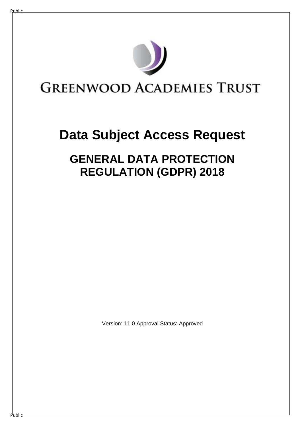

# **Data Subject Access Request**

# **GENERAL DATA PROTECTION REGULATION (GDPR) 2018**

Version: 11.0 Approval Status: Approved

Public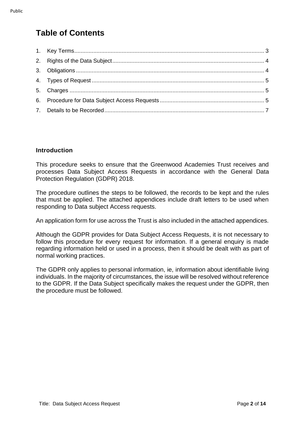# **Table of Contents**

#### **Introduction**

This procedure seeks to ensure that the Greenwood Academies Trust receives and processes Data Subject Access Requests in accordance with the General Data Protection Regulation (GDPR) 2018.

The procedure outlines the steps to be followed, the records to be kept and the rules that must be applied. The attached appendices include draft letters to be used when responding to Data subject Access requests.

An application form for use across the Trust is also included in the attached appendices.

Although the GDPR provides for Data Subject Access Requests, it is not necessary to follow this procedure for every request for information. If a general enquiry is made regarding information held or used in a process, then it should be dealt with as part of normal working practices.

The GDPR only applies to personal information, ie, information about identifiable living individuals. In the majority of circumstances, the issue will be resolved without reference to the GDPR. If the Data Subject specifically makes the request under the GDPR, then the procedure must be followed.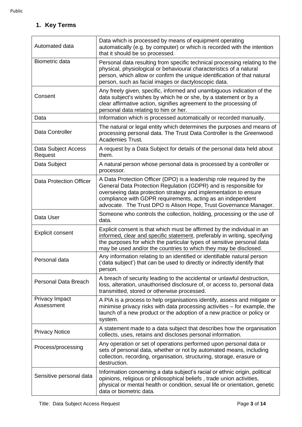# <span id="page-2-0"></span>**1. Key Terms**

| Automated data                 | Data which is processed by means of equipment operating<br>automatically (e.g. by computer) or which is recorded with the intention<br>that it should be so processed.                                                                                                                                                                           |  |  |  |
|--------------------------------|--------------------------------------------------------------------------------------------------------------------------------------------------------------------------------------------------------------------------------------------------------------------------------------------------------------------------------------------------|--|--|--|
| Biometric data                 | Personal data resulting from specific technical processing relating to the<br>physical, physiological or behavioural characteristics of a natural<br>person, which allow or confirm the unique identification of that natural<br>person, such as facial images or dactyloscopic data.                                                            |  |  |  |
| Consent                        | Any freely given, specific, informed and unambiguous indication of the<br>data subject's wishes by which he or she, by a statement or by a<br>clear affirmative action, signifies agreement to the processing of<br>personal data relating to him or her.                                                                                        |  |  |  |
| Data                           | Information which is processed automatically or recorded manually.                                                                                                                                                                                                                                                                               |  |  |  |
| Data Controller                | The natural or legal entity which determines the purposes and means of<br>processing personal data. The Trust Data Controller is the Greenwood<br>Academies Trust.                                                                                                                                                                               |  |  |  |
| Data Subject Access<br>Request | A request by a Data Subject for details of the personal data held about<br>them.                                                                                                                                                                                                                                                                 |  |  |  |
| Data Subject                   | A natural person whose personal data is processed by a controller or<br>processor.                                                                                                                                                                                                                                                               |  |  |  |
| <b>Data Protection Officer</b> | A Data Protection Officer (DPO) is a leadership role required by the<br>General Data Protection Regulation (GDPR) and is responsible for<br>overseeing data protection strategy and implementation to ensure<br>compliance with GDPR requirements, acting as an independent<br>advocate. The Trust DPO is Alison Hope, Trust Governance Manager. |  |  |  |
| Data User                      | Someone who controls the collection, holding, processing or the use of<br>data.                                                                                                                                                                                                                                                                  |  |  |  |
| <b>Explicit consent</b>        | Explicit consent is that which must be affirmed by the individual in an<br>informed, clear and specific statement, preferably in writing, specifying<br>the purposes for which the particular types of sensitive personal data<br>may be used and/or the countries to which they may be disclosed.                                               |  |  |  |
| Personal data                  | Any information relating to an identified or identifiable natural person<br>('data subject') that can be used to directly or indirectly identify that<br>person.                                                                                                                                                                                 |  |  |  |
| Personal Data Breach           | A breach of security leading to the accidental or unlawful destruction,<br>loss, alteration, unauthorised disclosure of, or access to, personal data<br>transmitted, stored or otherwise processed.                                                                                                                                              |  |  |  |
| Privacy Impact<br>Assessment   | A PIA is a process to help organisations identify, assess and mitigate or<br>minimise privacy risks with data processing activities - for example, the<br>launch of a new product or the adoption of a new practice or policy or<br>system.                                                                                                      |  |  |  |
| <b>Privacy Notice</b>          | A statement made to a data subject that describes how the organisation<br>collects, uses, retains and discloses personal information.                                                                                                                                                                                                            |  |  |  |
| Process/processing             | Any operation or set of operations performed upon personal data or<br>sets of personal data, whether or not by automated means, including<br>collection, recording, organisation, structuring, storage, erasure or<br>destruction.                                                                                                               |  |  |  |
| Sensitive personal data        | Information concerning a data subject's racial or ethnic origin, political<br>opinions, religious or philosophical beliefs, trade union activities,<br>physical or mental health or condition, sexual life or orientation, genetic<br>data or biometric data.                                                                                    |  |  |  |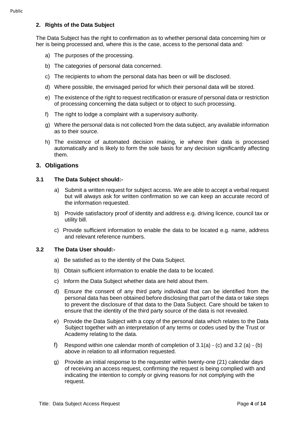#### <span id="page-3-0"></span>**2. Rights of the Data Subject**

The Data Subject has the right to confirmation as to whether personal data concerning him or her is being processed and, where this is the case, access to the personal data and:

- a) The purposes of the processing.
- b) The categories of personal data concerned.
- c) The recipients to whom the personal data has been or will be disclosed.
- d) Where possible, the envisaged period for which their personal data will be stored.
- e) The existence of the right to request rectification or erasure of personal data or restriction of processing concerning the data subject or to object to such processing.
- f) The right to lodge a complaint with a supervisory authority.
- g) Where the personal data is not collected from the data subject, any available information as to their source.
- h) The existence of automated decision making, ie where their data is processed automatically and is likely to form the sole basis for any decision significantly affecting them.

#### <span id="page-3-1"></span>**3. Obligations**

#### **3.1 The Data Subject should:-**

- a) Submit a written request for subject access. We are able to accept a verbal request but will always ask for written confirmation so we can keep an accurate record of the information requested.
- b) Provide satisfactory proof of identity and address e.g. driving licence, council tax or utility bill.
- c) Provide sufficient information to enable the data to be located e.g. name, address and relevant reference numbers.

#### **3.2 The Data User should:-**

- a) Be satisfied as to the identity of the Data Subject.
- b) Obtain sufficient information to enable the data to be located.
- c) Inform the Data Subject whether data are held about them.
- d) Ensure the consent of any third party individual that can be identified from the personal data has been obtained before disclosing that part of the data or take steps to prevent the disclosure of that data to the Data Subject. Care should be taken to ensure that the identity of the third party source of the data is not revealed.
- e) Provide the Data Subject with a copy of the personal data which relates to the Data Subject together with an interpretation of any terms or codes used by the Trust or Academy relating to the data.
- f) Respond within one calendar month of completion of  $3.1(a)$  (c) and  $3.2(a)$  (b) above in relation to all information requested.
- g) Provide an initial response to the requester within twenty-one (21) calendar days of receiving an access request, confirming the request is being complied with and indicating the intention to comply or giving reasons for not complying with the request.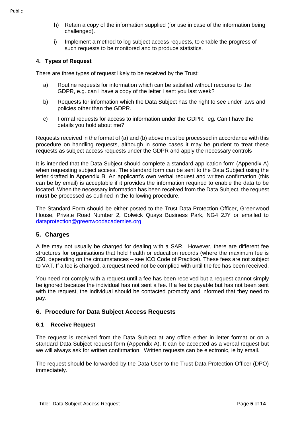- h) Retain a copy of the information supplied (for use in case of the information being challenged).
- i) Implement a method to log subject access requests, to enable the progress of such requests to be monitored and to produce statistics.

#### <span id="page-4-0"></span>**4. Types of Request**

There are three types of request likely to be received by the Trust:

- a) Routine requests for information which can be satisfied without recourse to the GDPR, e.g. can I have a copy of the letter I sent you last week?
- b) Requests for information which the Data Subject has the right to see under laws and policies other than the GDPR.
- c) Formal requests for access to information under the GDPR. eg. Can I have the details you hold about me?

Requests received in the format of (a) and (b) above must be processed in accordance with this procedure on handling requests, although in some cases it may be prudent to treat these requests as subject access requests under the GDPR and apply the necessary controls

It is intended that the Data Subject should complete a standard application form (Appendix A) when requesting subject access. The standard form can be sent to the Data Subject using the letter drafted in Appendix B. An applicant's own verbal request and written confirmation (this can be by email) is acceptable if it provides the information required to enable the data to be located. When the necessary information has been received from the Data Subject, the request **must** be processed as outlined in the following procedure.

The Standard Form should be either posted to the Trust Data Protection Officer, Greenwood House, Private Road Number 2, Colwick Quays Business Park, NG4 2JY or emailed to [dataprotection@greenwoodacademies.org.](mailto:dataprotection@greenwoodacademies.org)

#### <span id="page-4-1"></span>**5. Charges**

A fee may not usually be charged for dealing with a SAR. However, there are different fee structures for organisations that hold health or education records (where the maximum fee is £50, depending on the circumstances – see ICO Code of Practice). These fees are not subject to VAT. If a fee is charged, a request need not be complied with until the fee has been received.

You need not comply with a request until a fee has been received but a request cannot simply be ignored because the individual has not sent a fee. If a fee is payable but has not been sent with the request, the individual should be contacted promptly and informed that they need to pay.

#### <span id="page-4-2"></span>**6. Procedure for Data Subject Access Requests**

#### **6.1 Receive Request**

The request is received from the Data Subject at any office either in letter format or on a standard Data Subject request form (Appendix A). It can be accepted as a verbal request but we will always ask for written confirmation. Written requests can be electronic, ie by email.

The request should be forwarded by the Data User to the Trust Data Protection Officer (DPO) immediately.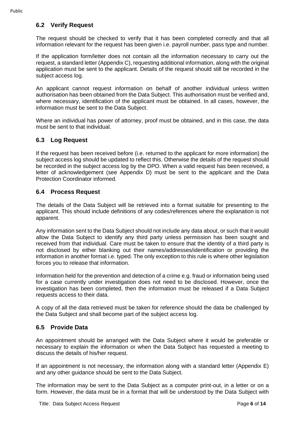#### **6.2 Verify Request**

The request should be checked to verify that it has been completed correctly and that all information relevant for the request has been given i.e. payroll number, pass type and number.

If the application form/letter does not contain all the information necessary to carry out the request, a standard letter (Appendix C), requesting additional information, along with the original application must be sent to the applicant. Details of the request should still be recorded in the subject access log.

An applicant cannot request information on behalf of another individual unless written authorisation has been obtained from the Data Subject. This authorisation must be verified and, where necessary, identification of the applicant must be obtained. In all cases, however, the information must be sent to the Data Subject.

Where an individual has power of attorney, proof must be obtained, and in this case, the data must be sent to that individual.

#### **6.3 Log Request**

If the request has been received before (i.e. returned to the applicant for more information) the subject access log should be updated to reflect this. Otherwise the details of the request should be recorded in the subject access log by the DPO. When a valid request has been received, a letter of acknowledgement (see Appendix D) must be sent to the applicant and the Data Protection Coordinator informed.

#### **6.4 Process Request**

The details of the Data Subject will be retrieved into a format suitable for presenting to the applicant. This should include definitions of any codes/references where the explanation is not apparent.

Any information sent to the Data Subject should not include any data about, or such that it would allow the Data Subject to identify any third party unless permission has been sought and received from that individual. Care must be taken to ensure that the identity of a third party is not disclosed by either blanking out their names/addresses/identification or providing the information in another format i.e. typed. The only exception to this rule is where other legislation forces you to release that information.

Information held for the prevention and detection of a crime e.g. fraud or information being used for a case currently under investigation does not need to be disclosed. However, once the investigation has been completed, then the information must be released if a Data Subject requests access to their data.

A copy of all the data retrieved must be taken for reference should the data be challenged by the Data Subject and shall become part of the subject access log.

#### **6.5 Provide Data**

An appointment should be arranged with the Data Subject where it would be preferable or necessary to explain the information or when the Data Subject has requested a meeting to discuss the details of his/her request.

If an appointment is not necessary, the information along with a standard letter (Appendix E) and any other guidance should be sent to the Data Subject.

The information may be sent to the Data Subject as a computer print-out, in a letter or on a form. However, the data must be in a format that will be understood by the Data Subject with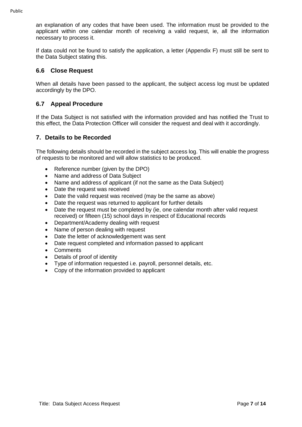an explanation of any codes that have been used. The information must be provided to the applicant within one calendar month of receiving a valid request, ie, all the information necessary to process it.

If data could not be found to satisfy the application, a letter (Appendix F) must still be sent to the Data Subject stating this.

#### **6.6 Close Request**

When all details have been passed to the applicant, the subject access log must be updated accordingly by the DPO.

### **6.7 Appeal Procedure**

If the Data Subject is not satisfied with the information provided and has notified the Trust to this effect, the Data Protection Officer will consider the request and deal with it accordingly.

#### <span id="page-6-0"></span>**7. Details to be Recorded**

The following details should be recorded in the subject access log. This will enable the progress of requests to be monitored and will allow statistics to be produced.

- Reference number (given by the DPO)
- Name and address of Data Subject
- Name and address of applicant (if not the same as the Data Subject)
- Date the request was received
- Date the valid request was received (may be the same as above)
- Date the request was returned to applicant for further details
- Date the request must be completed by (ie, one calendar month after valid request received) or fifteen (15) school days in respect of Educational records
- Department/Academy dealing with request
- Name of person dealing with request
- Date the letter of acknowledgement was sent
- Date request completed and information passed to applicant
- Comments
- Details of proof of identity
- Type of information requested i.e. payroll, personnel details, etc.
- Copy of the information provided to applicant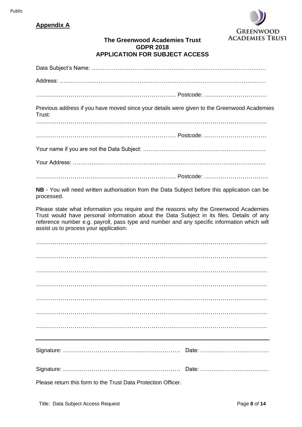#### Public

# **Appendix A**



# **The Greenwood Academies Trust GDPR 2018 APPLICATION FOR SUBJECT ACCESS**

| Previous address if you have moved since your details were given to the Greenwood Academies<br>Trust:                                                                                                                                                                                                                       |  |  |  |  |  |  |
|-----------------------------------------------------------------------------------------------------------------------------------------------------------------------------------------------------------------------------------------------------------------------------------------------------------------------------|--|--|--|--|--|--|
|                                                                                                                                                                                                                                                                                                                             |  |  |  |  |  |  |
|                                                                                                                                                                                                                                                                                                                             |  |  |  |  |  |  |
|                                                                                                                                                                                                                                                                                                                             |  |  |  |  |  |  |
|                                                                                                                                                                                                                                                                                                                             |  |  |  |  |  |  |
| NB - You will need written authorisation from the Data Subject before this application can be<br>processed.                                                                                                                                                                                                                 |  |  |  |  |  |  |
| Please state what information you require and the reasons why the Greenwood Academies<br>Trust would have personal information about the Data Subject in its files. Details of any<br>reference number e.g. payroll, pass type and number and any specific information which will<br>assist us to process your application: |  |  |  |  |  |  |
|                                                                                                                                                                                                                                                                                                                             |  |  |  |  |  |  |
|                                                                                                                                                                                                                                                                                                                             |  |  |  |  |  |  |
|                                                                                                                                                                                                                                                                                                                             |  |  |  |  |  |  |
|                                                                                                                                                                                                                                                                                                                             |  |  |  |  |  |  |
|                                                                                                                                                                                                                                                                                                                             |  |  |  |  |  |  |
|                                                                                                                                                                                                                                                                                                                             |  |  |  |  |  |  |
|                                                                                                                                                                                                                                                                                                                             |  |  |  |  |  |  |
|                                                                                                                                                                                                                                                                                                                             |  |  |  |  |  |  |
|                                                                                                                                                                                                                                                                                                                             |  |  |  |  |  |  |

Please return this form to the Trust Data Protection Officer.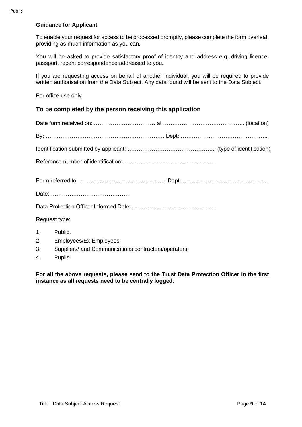#### **Guidance for Applicant**

To enable your request for access to be processed promptly, please complete the form overleaf, providing as much information as you can.

You will be asked to provide satisfactory proof of identity and address e.g. driving licence, passport, recent correspondence addressed to you.

If you are requesting access on behalf of another individual, you will be required to provide written authorisation from the Data Subject. Any data found will be sent to the Data Subject.

#### For office use only

#### **To be completed by the person receiving this application**

| Request type: |                                                                                               |  |  |  |  |  |  |
|---------------|-----------------------------------------------------------------------------------------------|--|--|--|--|--|--|
| 1.<br>3.      | Public.<br>2. Employees/Ex-Employees.<br>Suppliers/ and Communications contractors/operators. |  |  |  |  |  |  |

4. Pupils.

**For all the above requests, please send to the Trust Data Protection Officer in the first instance as all requests need to be centrally logged.**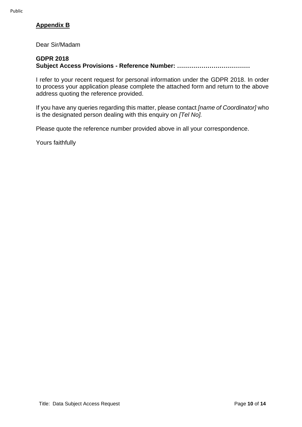### **Appendix B**

Dear Sir/Madam

#### **GDPR 2018**

**Subject Access Provisions - Reference Number: ………………………………**

I refer to your recent request for personal information under the GDPR 2018. In order to process your application please complete the attached form and return to the above address quoting the reference provided.

If you have any queries regarding this matter, please contact *[name of Coordinator]* who is the designated person dealing with this enquiry on *[Tel No].*

Please quote the reference number provided above in all your correspondence.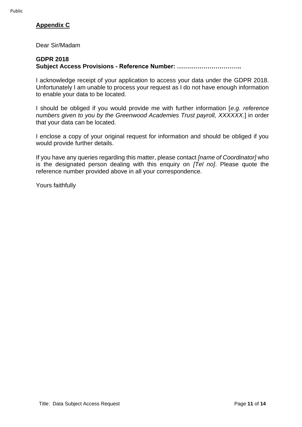# **Appendix C**

Dear Sir/Madam

#### **GDPR 2018**

**Subject Access Provisions - Reference Number: …………………………..**

I acknowledge receipt of your application to access your data under the GDPR 2018. Unfortunately I am unable to process your request as I do not have enough information to enable your data to be located.

I should be obliged if you would provide me with further information [*e.g. reference numbers given to you by the Greenwood Academies Trust payroll, XXXXXX*.] in order that your data can be located.

I enclose a copy of your original request for information and should be obliged if you would provide further details.

If you have any queries regarding this matter, please contact *[name of Coordinator]* who is the designated person dealing with this enquiry on *[Tel no]*. Please quote the reference number provided above in all your correspondence.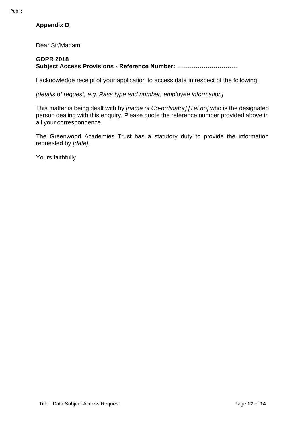# **Appendix D**

Dear Sir/Madam

#### **GDPR 2018**

**Subject Access Provisions - Reference Number: …………………………**

I acknowledge receipt of your application to access data in respect of the following:

*[details of request, e.g. Pass type and number, employee information]*

This matter is being dealt with by *[name of Co-ordinator] [Tel no]* who is the designated person dealing with this enquiry. Please quote the reference number provided above in all your correspondence.

The Greenwood Academies Trust has a statutory duty to provide the information requested by *[date].*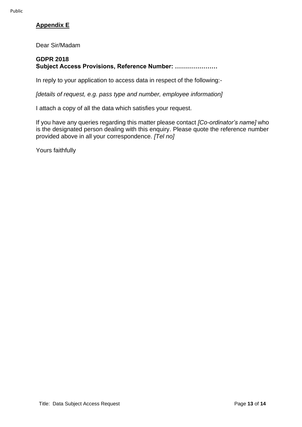# **Appendix E**

Dear Sir/Madam

#### **GDPR 2018 Subject Access Provisions, Reference Number: …………………**

In reply to your application to access data in respect of the following:-

*[details of request, e.g. pass type and number, employee information]*

I attach a copy of all the data which satisfies your request.

If you have any queries regarding this matter please contact *[Co-ordinator's name]* who is the designated person dealing with this enquiry. Please quote the reference number provided above in all your correspondence. *[Tel no]*